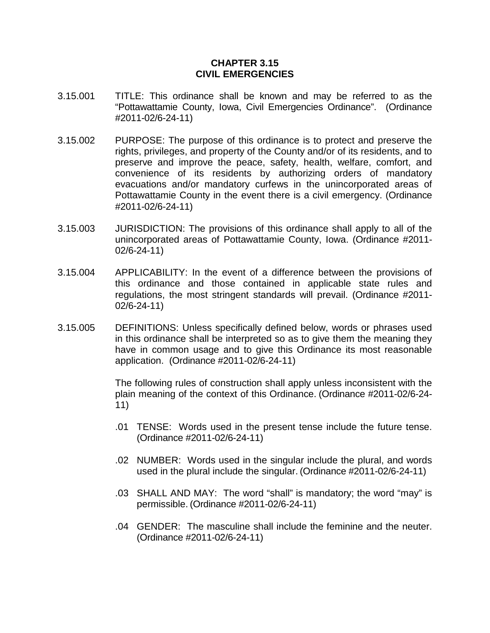## **CHAPTER 3.15 CIVIL EMERGENCIES**

- 3.15.001 TITLE: This ordinance shall be known and may be referred to as the "Pottawattamie County, Iowa, Civil Emergencies Ordinance". (Ordinance #2011-02/6-24-11)
- 3.15.002 PURPOSE: The purpose of this ordinance is to protect and preserve the rights, privileges, and property of the County and/or of its residents, and to preserve and improve the peace, safety, health, welfare, comfort, and convenience of its residents by authorizing orders of mandatory evacuations and/or mandatory curfews in the unincorporated areas of Pottawattamie County in the event there is a civil emergency. (Ordinance #2011-02/6-24-11)
- 3.15.003 JURISDICTION: The provisions of this ordinance shall apply to all of the unincorporated areas of Pottawattamie County, Iowa. (Ordinance #2011- 02/6-24-11)
- 3.15.004 APPLICABILITY: In the event of a difference between the provisions of this ordinance and those contained in applicable state rules and regulations, the most stringent standards will prevail. (Ordinance #2011- 02/6-24-11)
- 3.15.005 DEFINITIONS: Unless specifically defined below, words or phrases used in this ordinance shall be interpreted so as to give them the meaning they have in common usage and to give this Ordinance its most reasonable application. (Ordinance #2011-02/6-24-11)

The following rules of construction shall apply unless inconsistent with the plain meaning of the context of this Ordinance. (Ordinance #2011-02/6-24- 11)

- .01 TENSE: Words used in the present tense include the future tense. (Ordinance #2011-02/6-24-11)
- .02 NUMBER: Words used in the singular include the plural, and words used in the plural include the singular. (Ordinance #2011-02/6-24-11)
- .03 SHALL AND MAY: The word "shall" is mandatory; the word "may" is permissible. (Ordinance #2011-02/6-24-11)
- .04 GENDER: The masculine shall include the feminine and the neuter. (Ordinance #2011-02/6-24-11)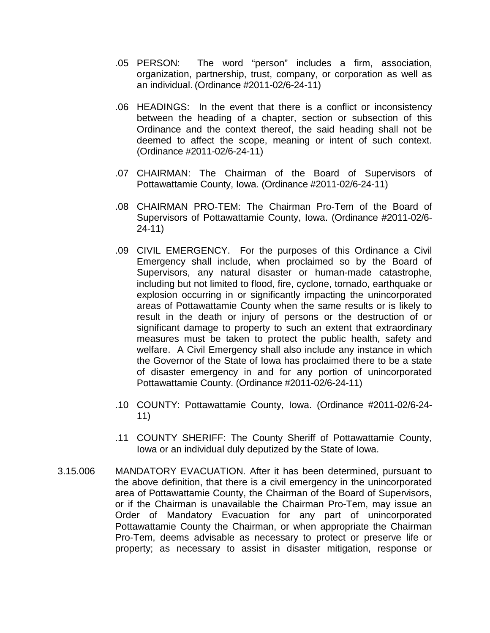- .05 PERSON: The word "person" includes a firm, association, organization, partnership, trust, company, or corporation as well as an individual. (Ordinance #2011-02/6-24-11)
- .06 HEADINGS: In the event that there is a conflict or inconsistency between the heading of a chapter, section or subsection of this Ordinance and the context thereof, the said heading shall not be deemed to affect the scope, meaning or intent of such context. (Ordinance #2011-02/6-24-11)
- .07 CHAIRMAN: The Chairman of the Board of Supervisors of Pottawattamie County, Iowa. (Ordinance #2011-02/6-24-11)
- .08 CHAIRMAN PRO-TEM: The Chairman Pro-Tem of the Board of Supervisors of Pottawattamie County, Iowa. (Ordinance #2011-02/6- 24-11)
- .09 CIVIL EMERGENCY. For the purposes of this Ordinance a Civil Emergency shall include, when proclaimed so by the Board of Supervisors, any natural disaster or human-made catastrophe, including but not limited to flood, fire, cyclone, tornado, earthquake or explosion occurring in or significantly impacting the unincorporated areas of Pottawattamie County when the same results or is likely to result in the death or injury of persons or the destruction of or significant damage to property to such an extent that extraordinary measures must be taken to protect the public health, safety and welfare. A Civil Emergency shall also include any instance in which the Governor of the State of Iowa has proclaimed there to be a state of disaster emergency in and for any portion of unincorporated Pottawattamie County. (Ordinance #2011-02/6-24-11)
- .10 COUNTY: Pottawattamie County, Iowa. (Ordinance #2011-02/6-24- 11)
- .11 COUNTY SHERIFF: The County Sheriff of Pottawattamie County, Iowa or an individual duly deputized by the State of Iowa.
- 3.15.006 MANDATORY EVACUATION. After it has been determined, pursuant to the above definition, that there is a civil emergency in the unincorporated area of Pottawattamie County, the Chairman of the Board of Supervisors, or if the Chairman is unavailable the Chairman Pro-Tem, may issue an Order of Mandatory Evacuation for any part of unincorporated Pottawattamie County the Chairman, or when appropriate the Chairman Pro-Tem, deems advisable as necessary to protect or preserve life or property; as necessary to assist in disaster mitigation, response or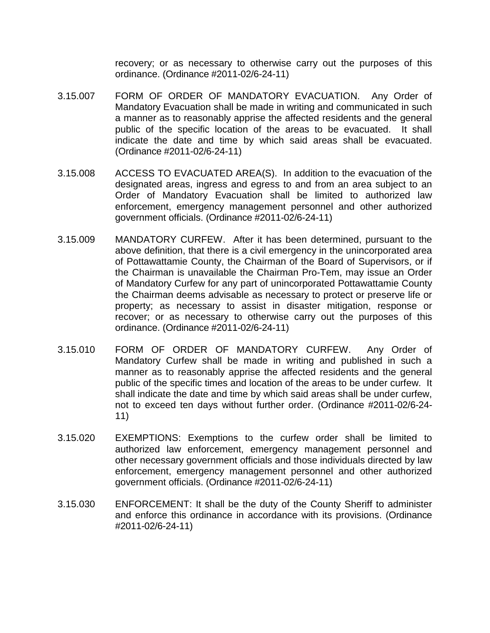recovery; or as necessary to otherwise carry out the purposes of this ordinance. (Ordinance #2011-02/6-24-11)

- 3.15.007 FORM OF ORDER OF MANDATORY EVACUATION. Any Order of Mandatory Evacuation shall be made in writing and communicated in such a manner as to reasonably apprise the affected residents and the general public of the specific location of the areas to be evacuated. It shall indicate the date and time by which said areas shall be evacuated. (Ordinance #2011-02/6-24-11)
- 3.15.008 ACCESS TO EVACUATED AREA(S). In addition to the evacuation of the designated areas, ingress and egress to and from an area subject to an Order of Mandatory Evacuation shall be limited to authorized law enforcement, emergency management personnel and other authorized government officials. (Ordinance #2011-02/6-24-11)
- 3.15.009 MANDATORY CURFEW. After it has been determined, pursuant to the above definition, that there is a civil emergency in the unincorporated area of Pottawattamie County, the Chairman of the Board of Supervisors, or if the Chairman is unavailable the Chairman Pro-Tem, may issue an Order of Mandatory Curfew for any part of unincorporated Pottawattamie County the Chairman deems advisable as necessary to protect or preserve life or property; as necessary to assist in disaster mitigation, response or recover; or as necessary to otherwise carry out the purposes of this ordinance. (Ordinance #2011-02/6-24-11)
- 3.15.010 FORM OF ORDER OF MANDATORY CURFEW. Any Order of Mandatory Curfew shall be made in writing and published in such a manner as to reasonably apprise the affected residents and the general public of the specific times and location of the areas to be under curfew. It shall indicate the date and time by which said areas shall be under curfew, not to exceed ten days without further order. (Ordinance #2011-02/6-24- 11)
- 3.15.020 EXEMPTIONS: Exemptions to the curfew order shall be limited to authorized law enforcement, emergency management personnel and other necessary government officials and those individuals directed by law enforcement, emergency management personnel and other authorized government officials. (Ordinance #2011-02/6-24-11)
- 3.15.030 ENFORCEMENT: It shall be the duty of the County Sheriff to administer and enforce this ordinance in accordance with its provisions. (Ordinance #2011-02/6-24-11)